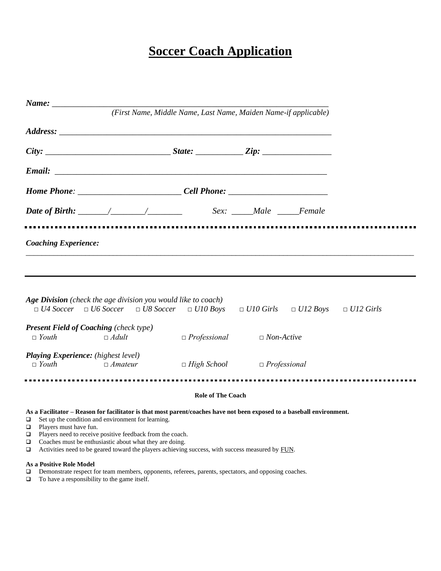## **Soccer Coach Application**

|                            |                                                               |                                                                                                                                                                            | (First Name, Middle Name, Last Name, Maiden Name-if applicable)                                                                                                                                                            |  |  |
|----------------------------|---------------------------------------------------------------|----------------------------------------------------------------------------------------------------------------------------------------------------------------------------|----------------------------------------------------------------------------------------------------------------------------------------------------------------------------------------------------------------------------|--|--|
|                            |                                                               |                                                                                                                                                                            |                                                                                                                                                                                                                            |  |  |
|                            |                                                               |                                                                                                                                                                            |                                                                                                                                                                                                                            |  |  |
|                            |                                                               |                                                                                                                                                                            |                                                                                                                                                                                                                            |  |  |
|                            |                                                               |                                                                                                                                                                            | Home Phone: _______________________________Cell Phone: _________________________                                                                                                                                           |  |  |
|                            |                                                               |                                                                                                                                                                            |                                                                                                                                                                                                                            |  |  |
|                            | <b>Coaching Experience:</b>                                   |                                                                                                                                                                            |                                                                                                                                                                                                                            |  |  |
|                            |                                                               | Age Division (check the age division you would like to coach)                                                                                                              | $\Box U4 \text{ Soccer} \quad \Box U6 \text{ Soccer} \quad \Box U8 \text{ Soccer} \quad \Box U10 \text{ Boys} \quad \Box U10 \text{ Girls} \quad \Box U12 \text{ Boys} \quad \Box U12 \text{ Girls}$                       |  |  |
|                            | <b>Present Field of Coaching</b> (check type)<br>$\Box$ Youth | $\Box$ Adult                                                                                                                                                               | $\Box$ Professional $\Box$ Non-Active                                                                                                                                                                                      |  |  |
|                            | <b>Playing Experience:</b> (highest level)<br>$\Box$ Youth    | $\Box$ Amateur                                                                                                                                                             | $\Box$ High School $\Box$ Professional                                                                                                                                                                                     |  |  |
|                            |                                                               |                                                                                                                                                                            | <b>Role of The Coach</b>                                                                                                                                                                                                   |  |  |
| ❏<br>$\Box$<br>❏<br>❏<br>❏ | Players must have fun.                                        | Set up the condition and environment for learning.<br>Players need to receive positive feedback from the coach.<br>Coaches must be enthusiastic about what they are doing. | As a Facilitator - Reason for facilitator is that most parent/coaches have not been exposed to a baseball environment.<br>Activities need to be geared toward the players achieving success, with success measured by FUN. |  |  |
| $\Box$                     | As a Positive Role Model                                      |                                                                                                                                                                            | Demonstrate respect for team members, opponents, referees, parents, spectators, and opposing coaches.                                                                                                                      |  |  |

❑ To have a responsibility to the game itself.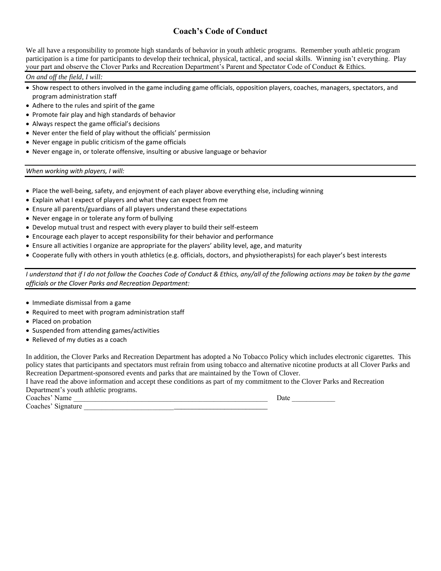## **Coach's Code of Conduct**

We all have a responsibility to promote high standards of behavior in youth athletic programs. Remember youth athletic program participation is a time for participants to develop their technical, physical, tactical, and social skills. Winning isn't everything. Play your part and observe the Clover Parks and Recreation Department's Parent and Spectator Code of Conduct & Ethics.

*On and off the field, I will:*

- Show respect to others involved in the game including game officials, opposition players, coaches, managers, spectators, and program administration staff
- Adhere to the rules and spirit of the game
- Promote fair play and high standards of behavior
- Always respect the game official's decisions
- Never enter the field of play without the officials' permission
- Never engage in public criticism of the game officials
- Never engage in, or tolerate offensive, insulting or abusive language or behavior

*When working with players, I will:*

- Place the well-being, safety, and enjoyment of each player above everything else, including winning
- Explain what I expect of players and what they can expect from me
- Ensure all parents/guardians of all players understand these expectations
- Never engage in or tolerate any form of bullying
- Develop mutual trust and respect with every player to build their self-esteem
- Encourage each player to accept responsibility for their behavior and performance
- Ensure all activities I organize are appropriate for the players' ability level, age, and maturity
- Cooperate fully with others in youth athletics (e.g. officials, doctors, and physiotherapists) for each player's best interests

*I understand that if I do not follow the Coaches Code of Conduct & Ethics, any/all of the following actions may be taken by the game officials or the Clover Parks and Recreation Department:*

- Immediate dismissal from a game
- Required to meet with program administration staff
- Placed on probation
- Suspended from attending games/activities
- Relieved of my duties as a coach

In addition, the Clover Parks and Recreation Department has adopted a No Tobacco Policy which includes electronic cigarettes. This policy states that participants and spectators must refrain from using tobacco and alternative nicotine products at all Clover Parks and Recreation Department-sponsored events and parks that are maintained by the Town of Clover.

I have read the above information and accept these conditions as part of my commitment to the Clover Parks and Recreation Department's youth athletic programs.

Coaches' Name \_\_\_\_\_\_\_\_\_\_\_\_\_\_\_\_\_\_\_\_\_\_\_\_\_\_\_\_\_\_\_\_\_\_\_\_\_\_\_\_\_\_\_\_\_\_\_\_\_\_\_\_\_\_ Date \_\_\_\_\_\_\_\_\_\_\_\_

Coaches' Signature